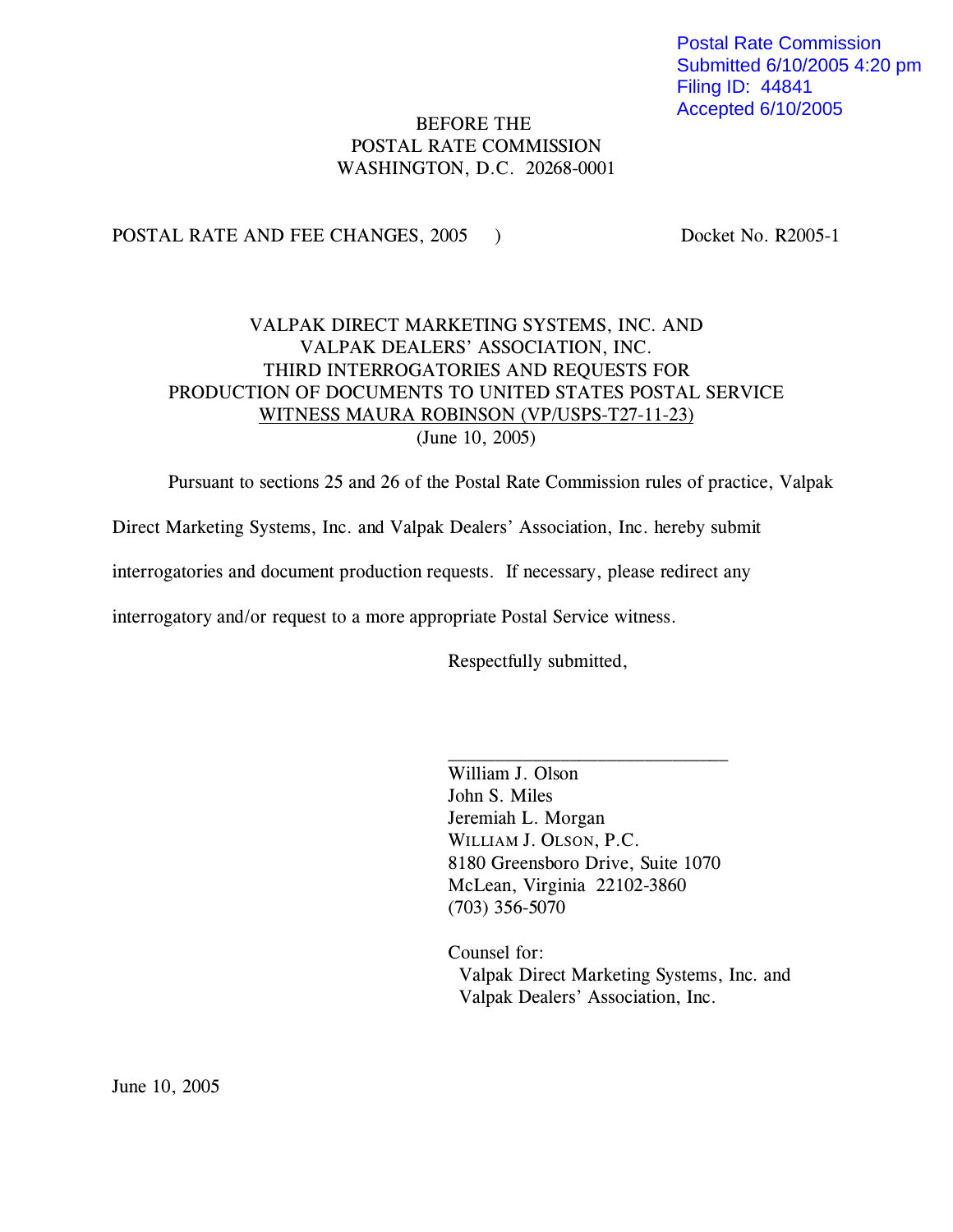Postal Rate Commission Submitted 6/10/2005 4:20 pm Filing ID: 44841 Accepted 6/10/2005

# BEFORE THE POSTAL RATE COMMISSION WASHINGTON, D.C. 20268-0001

POSTAL RATE AND FEE CHANGES, 2005 ) Docket No. R2005-1

# VALPAK DIRECT MARKETING SYSTEMS, INC. AND VALPAK DEALERS' ASSOCIATION, INC. THIRD INTERROGATORIES AND REQUESTS FOR PRODUCTION OF DOCUMENTS TO UNITED STATES POSTAL SERVICE WITNESS MAURA ROBINSON (VP/USPS-T27-11-23) (June 10, 2005)

Pursuant to sections 25 and 26 of the Postal Rate Commission rules of practice, Valpak

Direct Marketing Systems, Inc. and Valpak Dealers' Association, Inc. hereby submit

interrogatories and document production requests. If necessary, please redirect any

interrogatory and/or request to a more appropriate Postal Service witness.

Respectfully submitted,

William J. Olson John S. Miles Jeremiah L. Morgan WILLIAM J. OLSON, P.C. 8180 Greensboro Drive, Suite 1070 McLean, Virginia 22102-3860 (703) 356-5070

 $\overline{\phantom{a}}$  , where  $\overline{\phantom{a}}$  , where  $\overline{\phantom{a}}$  , where  $\overline{\phantom{a}}$  , where  $\overline{\phantom{a}}$ 

Counsel for: Valpak Direct Marketing Systems, Inc. and Valpak Dealers' Association, Inc.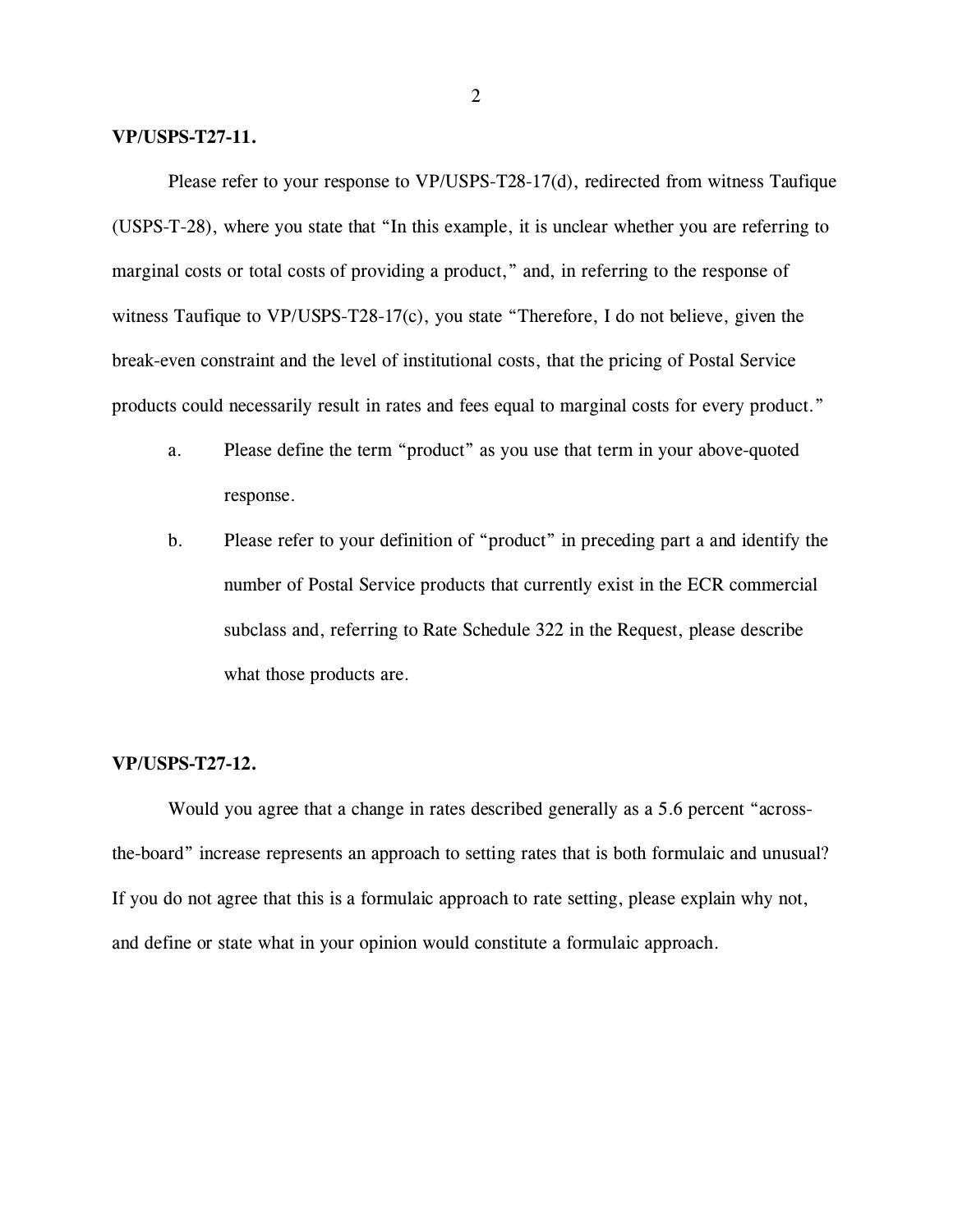## **VP/USPS-T27-11.**

Please refer to your response to VP/USPS-T28-17(d), redirected from witness Taufique (USPS-T-28), where you state that "In this example, it is unclear whether you are referring to marginal costs or total costs of providing a product," and, in referring to the response of witness Taufique to VP/USPS-T28-17(c), you state "Therefore, I do not believe, given the break-even constraint and the level of institutional costs, that the pricing of Postal Service products could necessarily result in rates and fees equal to marginal costs for every product."

- a. Please define the term "product" as you use that term in your above-quoted response.
- b. Please refer to your definition of "product" in preceding part a and identify the number of Postal Service products that currently exist in the ECR commercial subclass and, referring to Rate Schedule 322 in the Request, please describe what those products are.

## **VP/USPS-T27-12.**

Would you agree that a change in rates described generally as a 5.6 percent "acrossthe-board" increase represents an approach to setting rates that is both formulaic and unusual? If you do not agree that this is a formulaic approach to rate setting, please explain why not, and define or state what in your opinion would constitute a formulaic approach.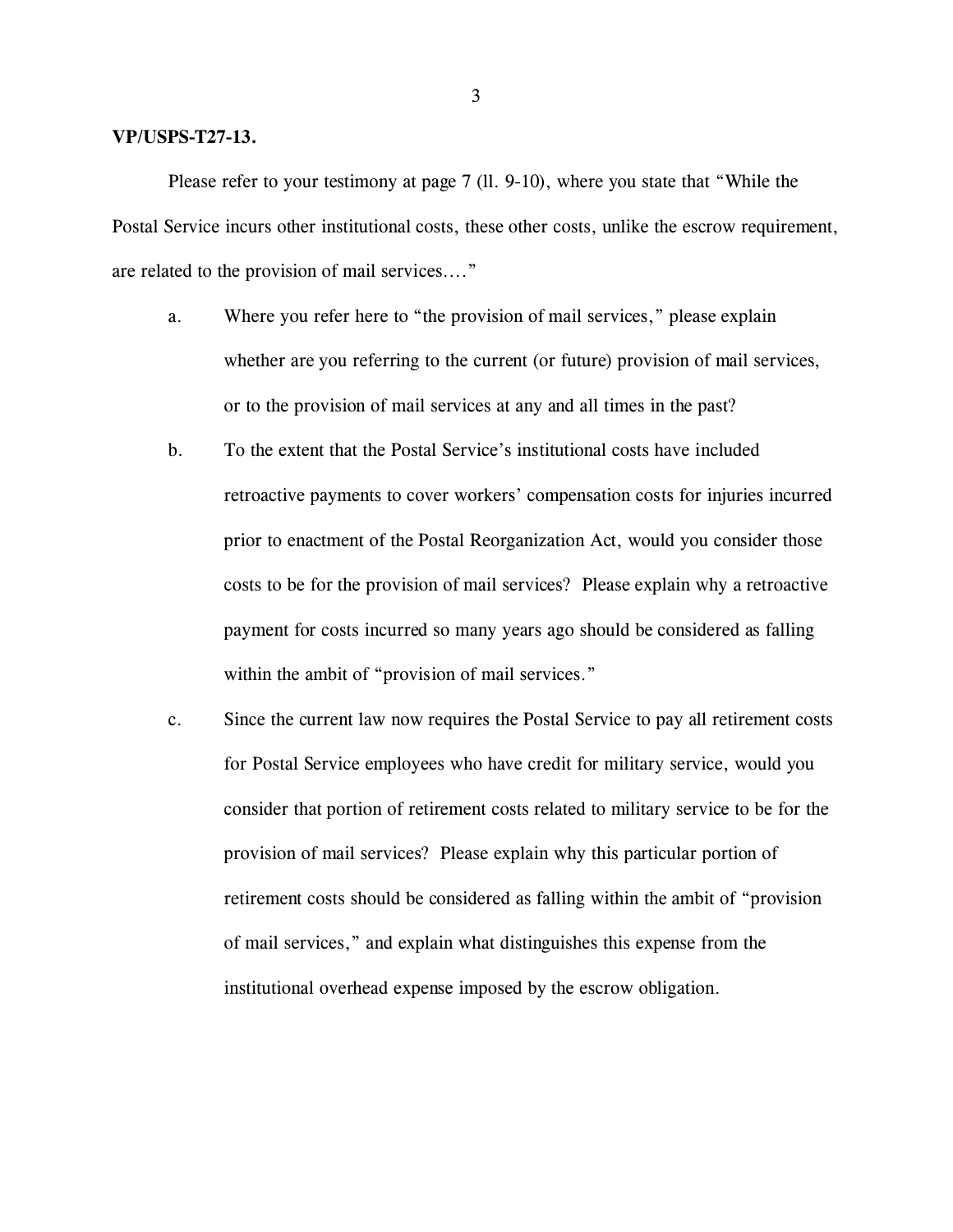## **VP/USPS-T27-13.**

Please refer to your testimony at page 7 (ll. 9-10), where you state that "While the Postal Service incurs other institutional costs, these other costs, unlike the escrow requirement, are related to the provision of mail services...."

- a. Where you refer here to "the provision of mail services," please explain whether are you referring to the current (or future) provision of mail services, or to the provision of mail services at any and all times in the past?
- b. To the extent that the Postal Service's institutional costs have included retroactive payments to cover workers' compensation costs for injuries incurred prior to enactment of the Postal Reorganization Act, would you consider those costs to be for the provision of mail services? Please explain why a retroactive payment for costs incurred so many years ago should be considered as falling within the ambit of "provision of mail services."
- c. Since the current law now requires the Postal Service to pay all retirement costs for Postal Service employees who have credit for military service, would you consider that portion of retirement costs related to military service to be for the provision of mail services? Please explain why this particular portion of retirement costs should be considered as falling within the ambit of "provision of mail services," and explain what distinguishes this expense from the institutional overhead expense imposed by the escrow obligation.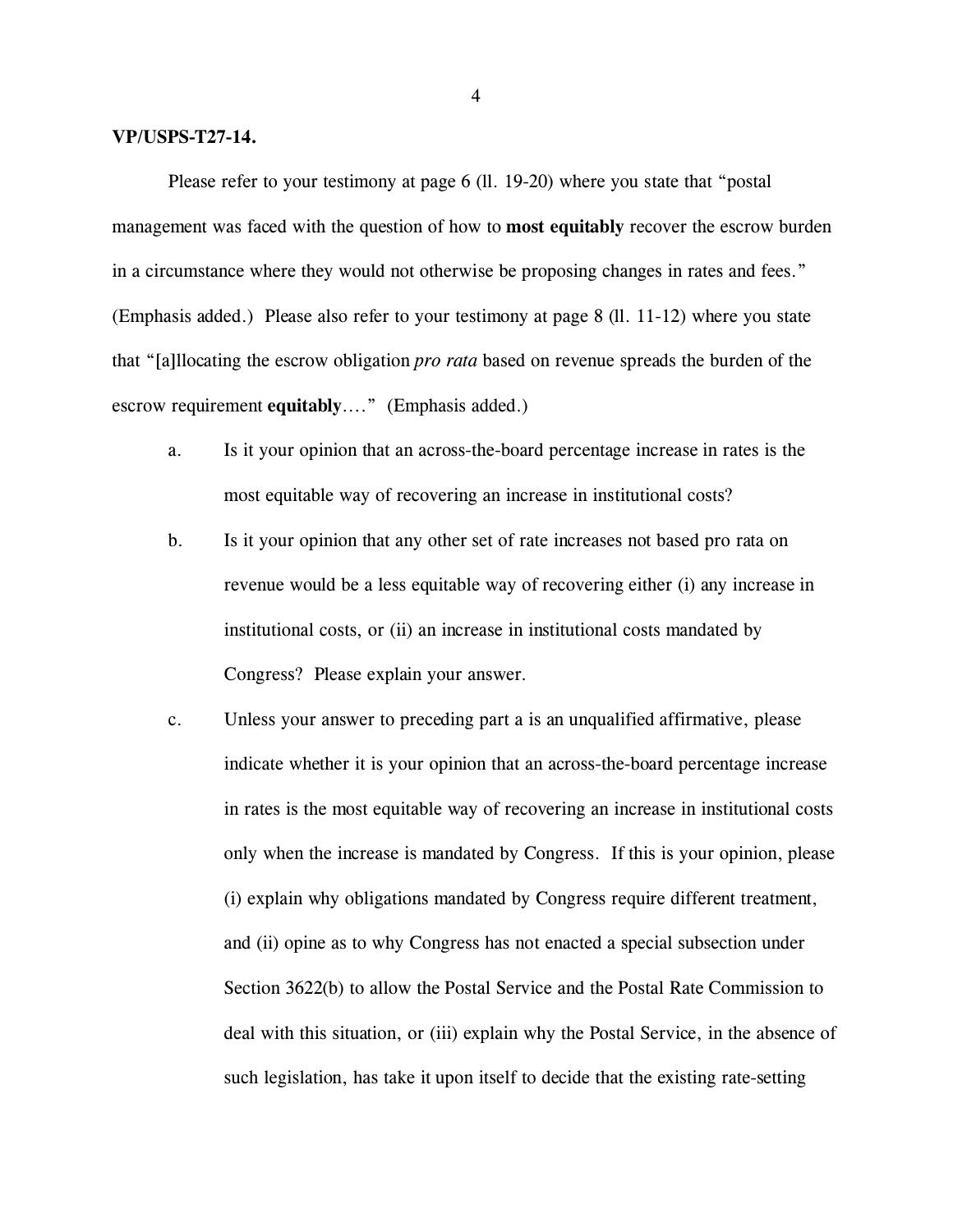## **VP/USPS-T27-14.**

Please refer to your testimony at page 6 (ll. 19-20) where you state that "postal management was faced with the question of how to **most equitably** recover the escrow burden in a circumstance where they would not otherwise be proposing changes in rates and fees." (Emphasis added.) Please also refer to your testimony at page 8 (ll. 11-12) where you state that "[a]llocating the escrow obligation *pro rata* based on revenue spreads the burden of the escrow requirement **equitably**...." (Emphasis added.)

- a. Is it your opinion that an across-the-board percentage increase in rates is the most equitable way of recovering an increase in institutional costs?
- b. Is it your opinion that any other set of rate increases not based pro rata on revenue would be a less equitable way of recovering either (i) any increase in institutional costs, or (ii) an increase in institutional costs mandated by Congress? Please explain your answer.
- c. Unless your answer to preceding part a is an unqualified affirmative, please indicate whether it is your opinion that an across-the-board percentage increase in rates is the most equitable way of recovering an increase in institutional costs only when the increase is mandated by Congress. If this is your opinion, please (i) explain why obligations mandated by Congress require different treatment, and (ii) opine as to why Congress has not enacted a special subsection under Section 3622(b) to allow the Postal Service and the Postal Rate Commission to deal with this situation, or (iii) explain why the Postal Service, in the absence of such legislation, has take it upon itself to decide that the existing rate-setting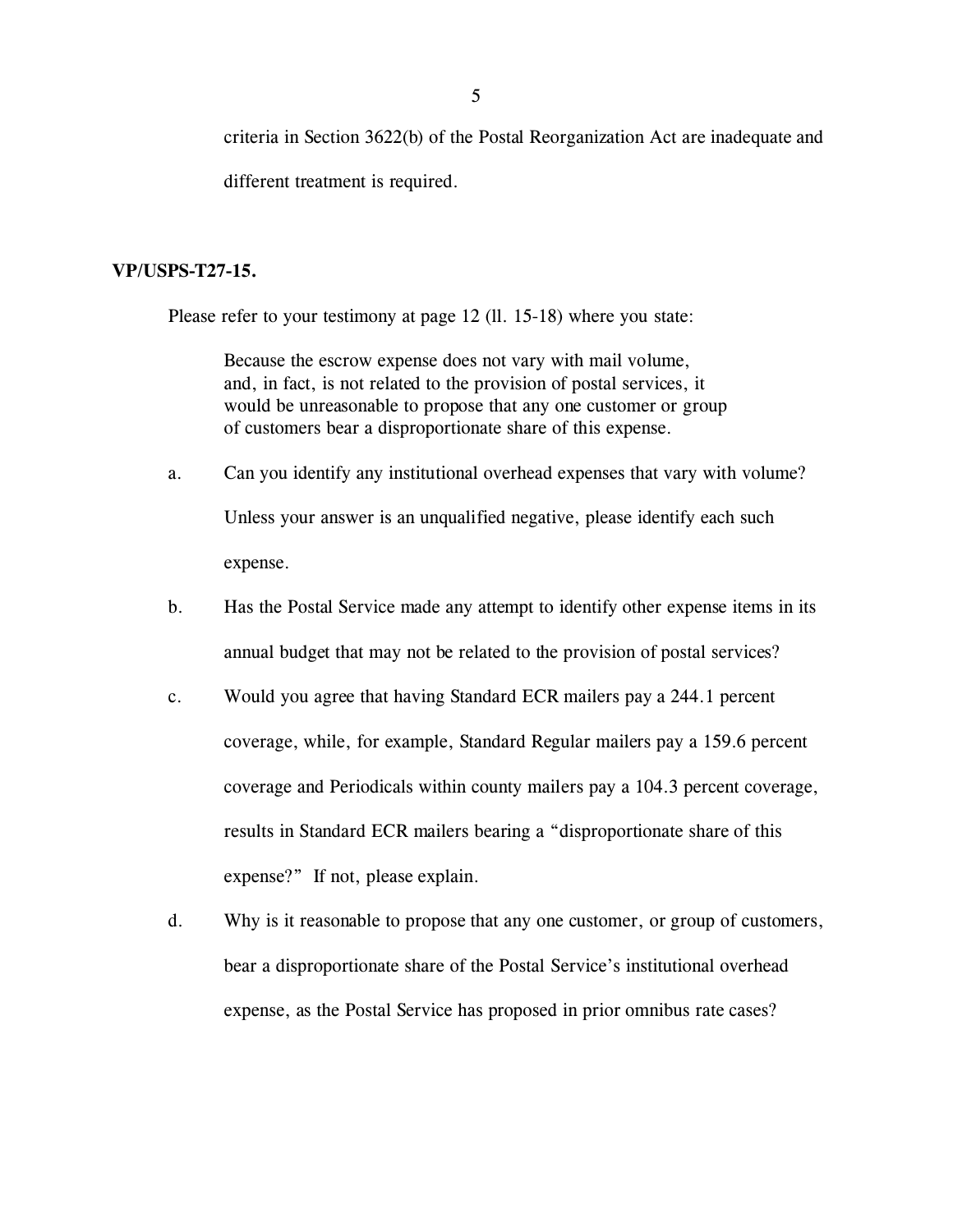criteria in Section 3622(b) of the Postal Reorganization Act are inadequate and different treatment is required.

#### **VP/USPS-T27-15.**

Please refer to your testimony at page 12 (ll. 15-18) where you state:

Because the escrow expense does not vary with mail volume, and, in fact, is not related to the provision of postal services, it would be unreasonable to propose that any one customer or group of customers bear a disproportionate share of this expense.

- a. Can you identify any institutional overhead expenses that vary with volume? Unless your answer is an unqualified negative, please identify each such expense.
- b. Has the Postal Service made any attempt to identify other expense items in its annual budget that may not be related to the provision of postal services?
- c. Would you agree that having Standard ECR mailers pay a 244.1 percent coverage, while, for example, Standard Regular mailers pay a 159.6 percent coverage and Periodicals within county mailers pay a 104.3 percent coverage, results in Standard ECR mailers bearing a "disproportionate share of this expense?" If not, please explain.
- d. Why is it reasonable to propose that any one customer, or group of customers, bear a disproportionate share of the Postal Service's institutional overhead expense, as the Postal Service has proposed in prior omnibus rate cases?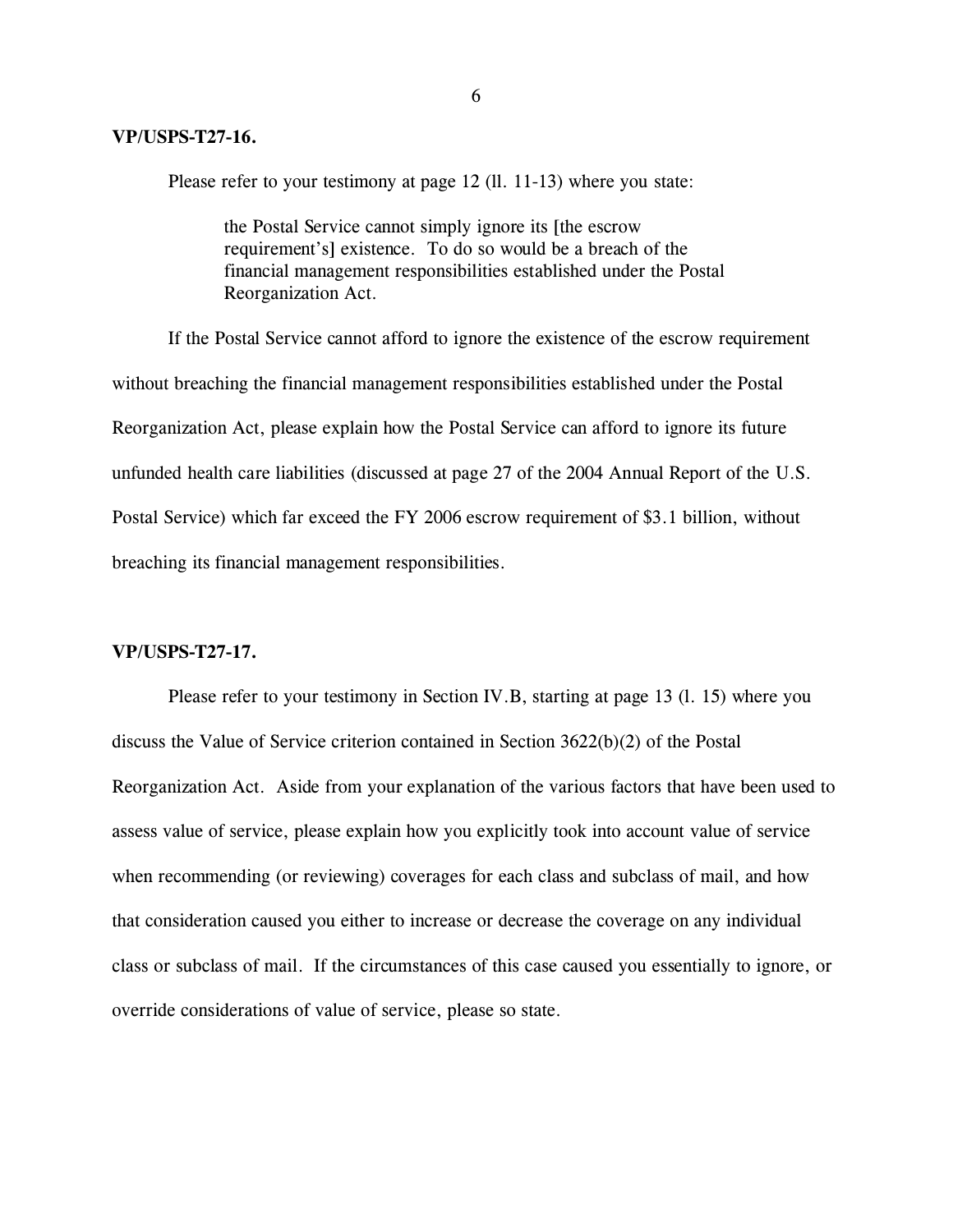Please refer to your testimony at page 12 (11. 11-13) where you state:

the Postal Service cannot simply ignore its [the escrow requirement's] existence. To do so would be a breach of the financial management responsibilities established under the Postal Reorganization Act.

If the Postal Service cannot afford to ignore the existence of the escrow requirement without breaching the financial management responsibilities established under the Postal Reorganization Act, please explain how the Postal Service can afford to ignore its future unfunded health care liabilities (discussed at page 27 of the 2004 Annual Report of the U.S. Postal Service) which far exceed the FY 2006 escrow requirement of \$3.1 billion, without breaching its financial management responsibilities.

## **VP/USPS-T27-17.**

Please refer to your testimony in Section IV.B, starting at page 13 (l. 15) where you discuss the Value of Service criterion contained in Section 3622(b)(2) of the Postal Reorganization Act. Aside from your explanation of the various factors that have been used to assess value of service, please explain how you explicitly took into account value of service when recommending (or reviewing) coverages for each class and subclass of mail, and how that consideration caused you either to increase or decrease the coverage on any individual class or subclass of mail. If the circumstances of this case caused you essentially to ignore, or override considerations of value of service, please so state.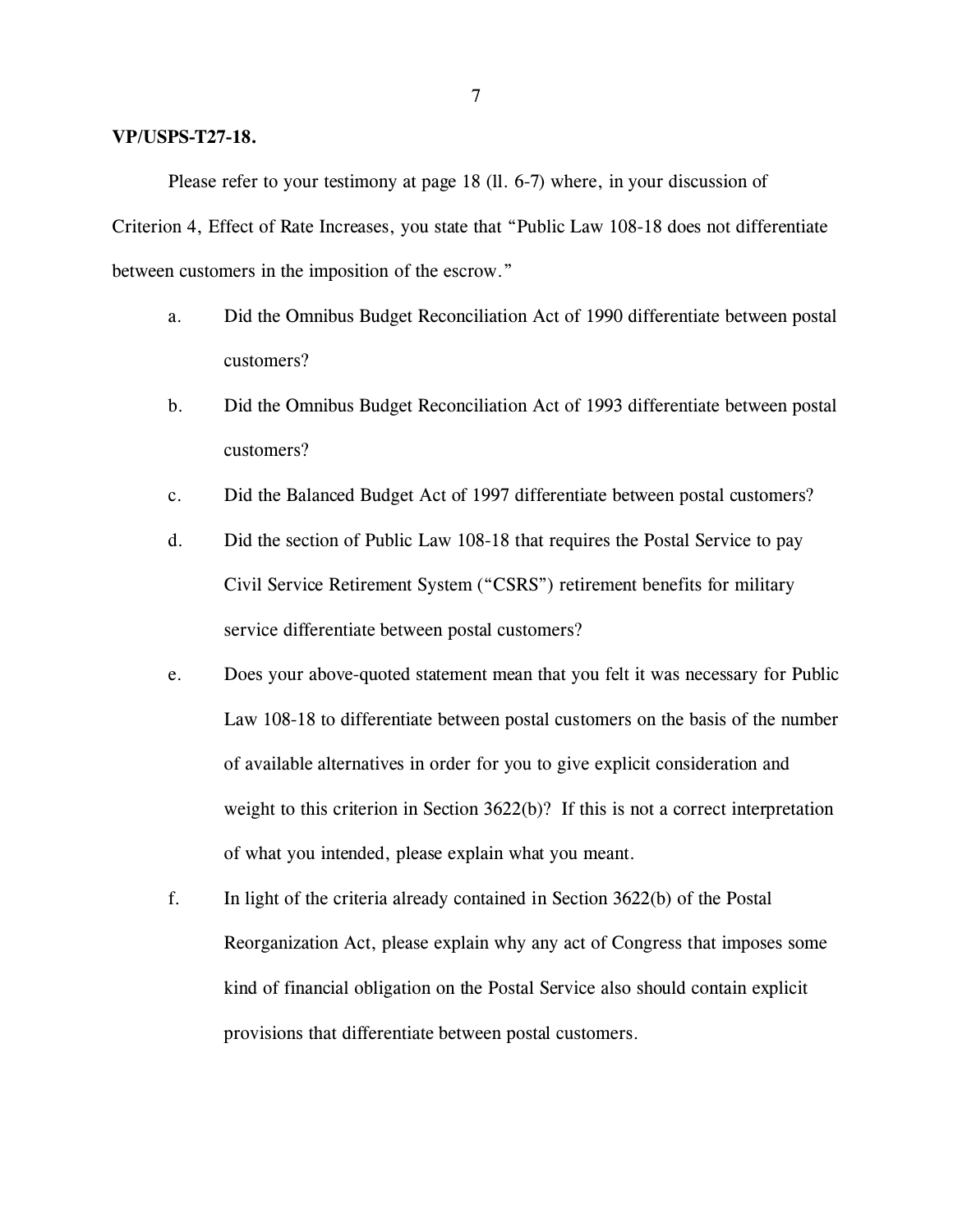## **VP/USPS-T27-18.**

Please refer to your testimony at page 18 (ll. 6-7) where, in your discussion of Criterion 4, Effect of Rate Increases, you state that "Public Law 108-18 does not differentiate between customers in the imposition of the escrow."

- a. Did the Omnibus Budget Reconciliation Act of 1990 differentiate between postal customers?
- b. Did the Omnibus Budget Reconciliation Act of 1993 differentiate between postal customers?
- c. Did the Balanced Budget Act of 1997 differentiate between postal customers?
- d. Did the section of Public Law 108-18 that requires the Postal Service to pay Civil Service Retirement System ("CSRS") retirement benefits for military service differentiate between postal customers?
- e. Does your above-quoted statement mean that you felt it was necessary for Public Law 108-18 to differentiate between postal customers on the basis of the number of available alternatives in order for you to give explicit consideration and weight to this criterion in Section  $3622(b)$ ? If this is not a correct interpretation of what you intended, please explain what you meant.
- f. In light of the criteria already contained in Section 3622(b) of the Postal Reorganization Act, please explain why any act of Congress that imposes some kind of financial obligation on the Postal Service also should contain explicit provisions that differentiate between postal customers.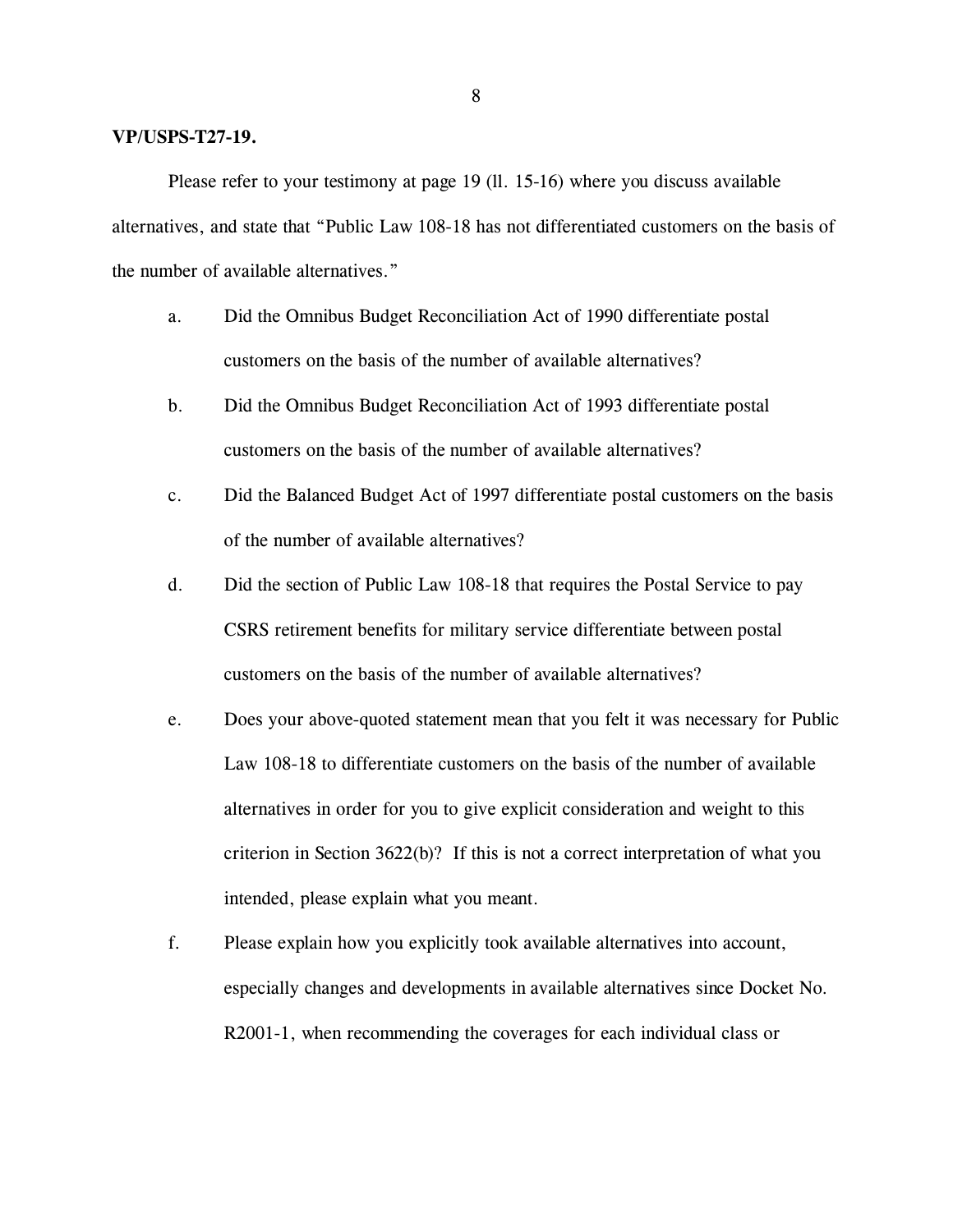### **VP/USPS-T27-19.**

Please refer to your testimony at page 19 (ll. 15-16) where you discuss available alternatives, and state that "Public Law 108-18 has not differentiated customers on the basis of the number of available alternatives."

- a. Did the Omnibus Budget Reconciliation Act of 1990 differentiate postal customers on the basis of the number of available alternatives?
- b. Did the Omnibus Budget Reconciliation Act of 1993 differentiate postal customers on the basis of the number of available alternatives?
- c. Did the Balanced Budget Act of 1997 differentiate postal customers on the basis of the number of available alternatives?
- d. Did the section of Public Law 108-18 that requires the Postal Service to pay CSRS retirement benefits for military service differentiate between postal customers on the basis of the number of available alternatives?
- e. Does your above-quoted statement mean that you felt it was necessary for Public Law 108-18 to differentiate customers on the basis of the number of available alternatives in order for you to give explicit consideration and weight to this criterion in Section 3622(b)? If this is not a correct interpretation of what you intended, please explain what you meant.
- f. Please explain how you explicitly took available alternatives into account, especially changes and developments in available alternatives since Docket No. R2001-1, when recommending the coverages for each individual class or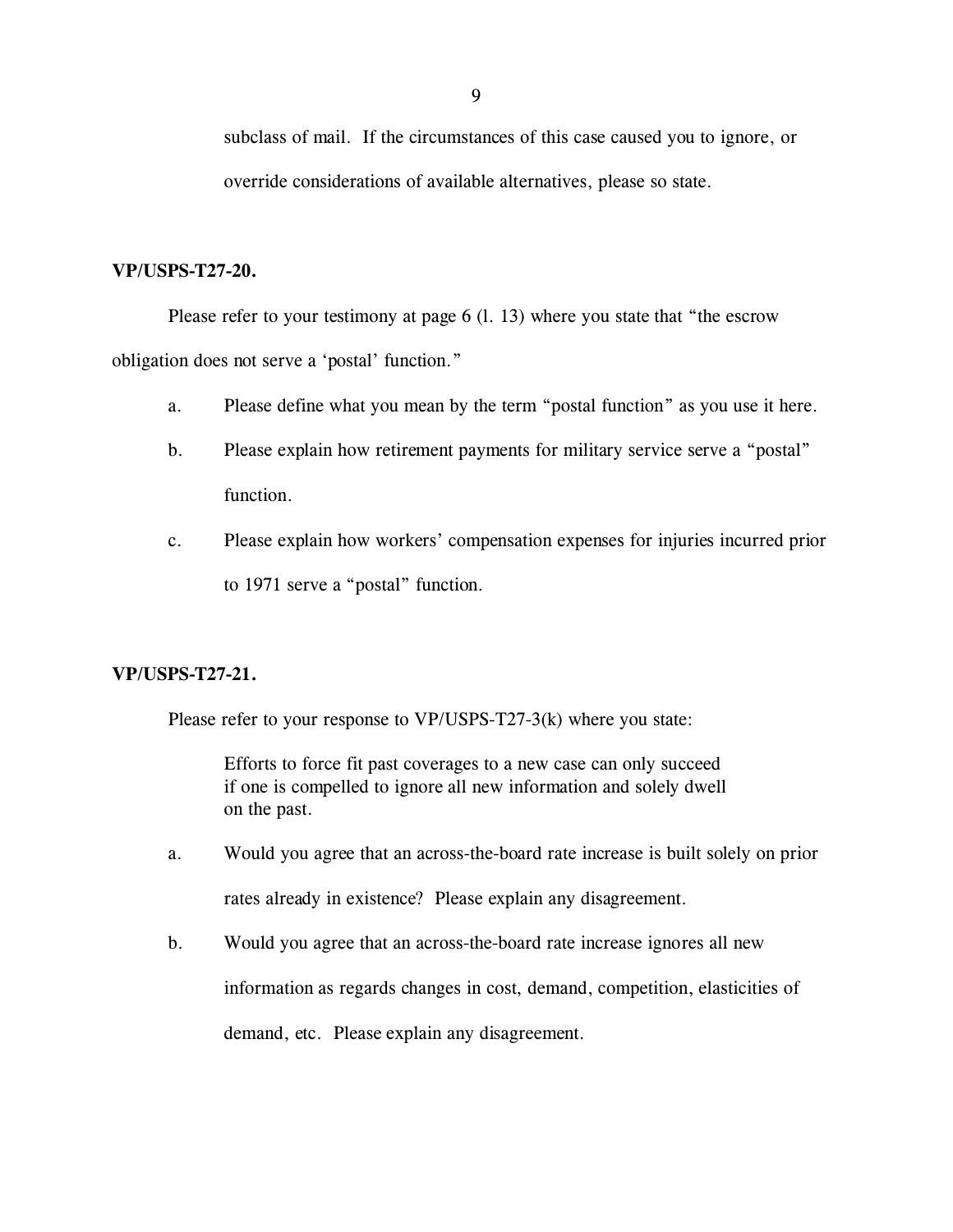subclass of mail. If the circumstances of this case caused you to ignore, or override considerations of available alternatives, please so state.

#### **VP/USPS-T27-20.**

Please refer to your testimony at page 6 (l. 13) where you state that "the escrow obligation does not serve a 'postal' function."

- a. Please define what you mean by the term "postal function" as you use it here.
- b. Please explain how retirement payments for military service serve a "postal" function.
- c. Please explain how workers' compensation expenses for injuries incurred prior to 1971 serve a "postal" function.

## **VP/USPS-T27-21.**

Please refer to your response to VP/USPS-T27-3(k) where you state:

Efforts to force fit past coverages to a new case can only succeed if one is compelled to ignore all new information and solely dwell on the past.

- a. Would you agree that an across-the-board rate increase is built solely on prior rates already in existence? Please explain any disagreement.
- b. Would you agree that an across-the-board rate increase ignores all new information as regards changes in cost, demand, competition, elasticities of demand, etc. Please explain any disagreement.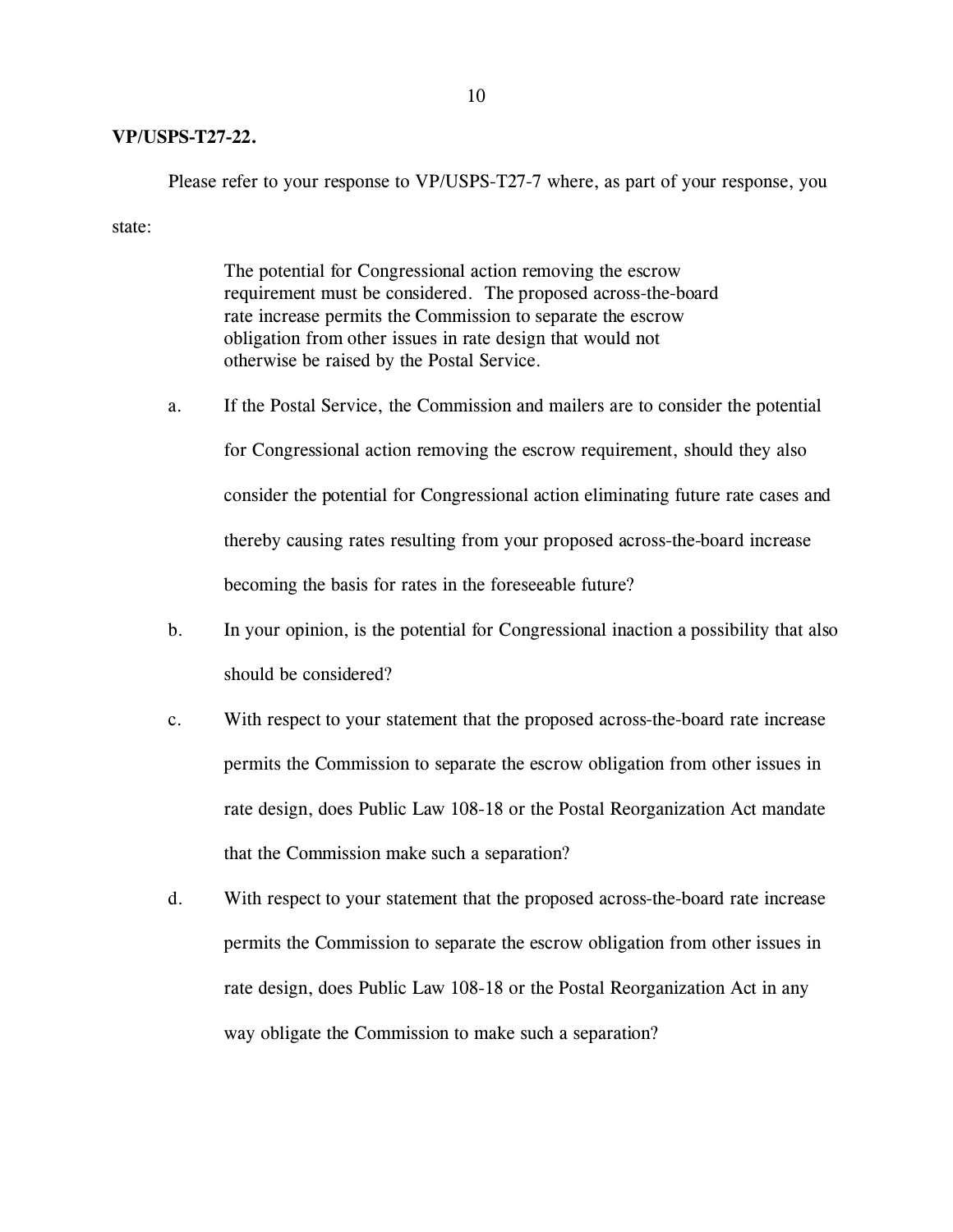## **VP/USPS-T27-22.**

Please refer to your response to VP/USPS-T27-7 where, as part of your response, you

state:

The potential for Congressional action removing the escrow requirement must be considered. The proposed across-the-board rate increase permits the Commission to separate the escrow obligation from other issues in rate design that would not otherwise be raised by the Postal Service.

- a. If the Postal Service, the Commission and mailers are to consider the potential for Congressional action removing the escrow requirement, should they also consider the potential for Congressional action eliminating future rate cases and thereby causing rates resulting from your proposed across-the-board increase becoming the basis for rates in the foreseeable future?
- b. In your opinion, is the potential for Congressional inaction a possibility that also should be considered?
- c. With respect to your statement that the proposed across-the-board rate increase permits the Commission to separate the escrow obligation from other issues in rate design, does Public Law 108-18 or the Postal Reorganization Act mandate that the Commission make such a separation?
- d. With respect to your statement that the proposed across-the-board rate increase permits the Commission to separate the escrow obligation from other issues in rate design, does Public Law 108-18 or the Postal Reorganization Act in any way obligate the Commission to make such a separation?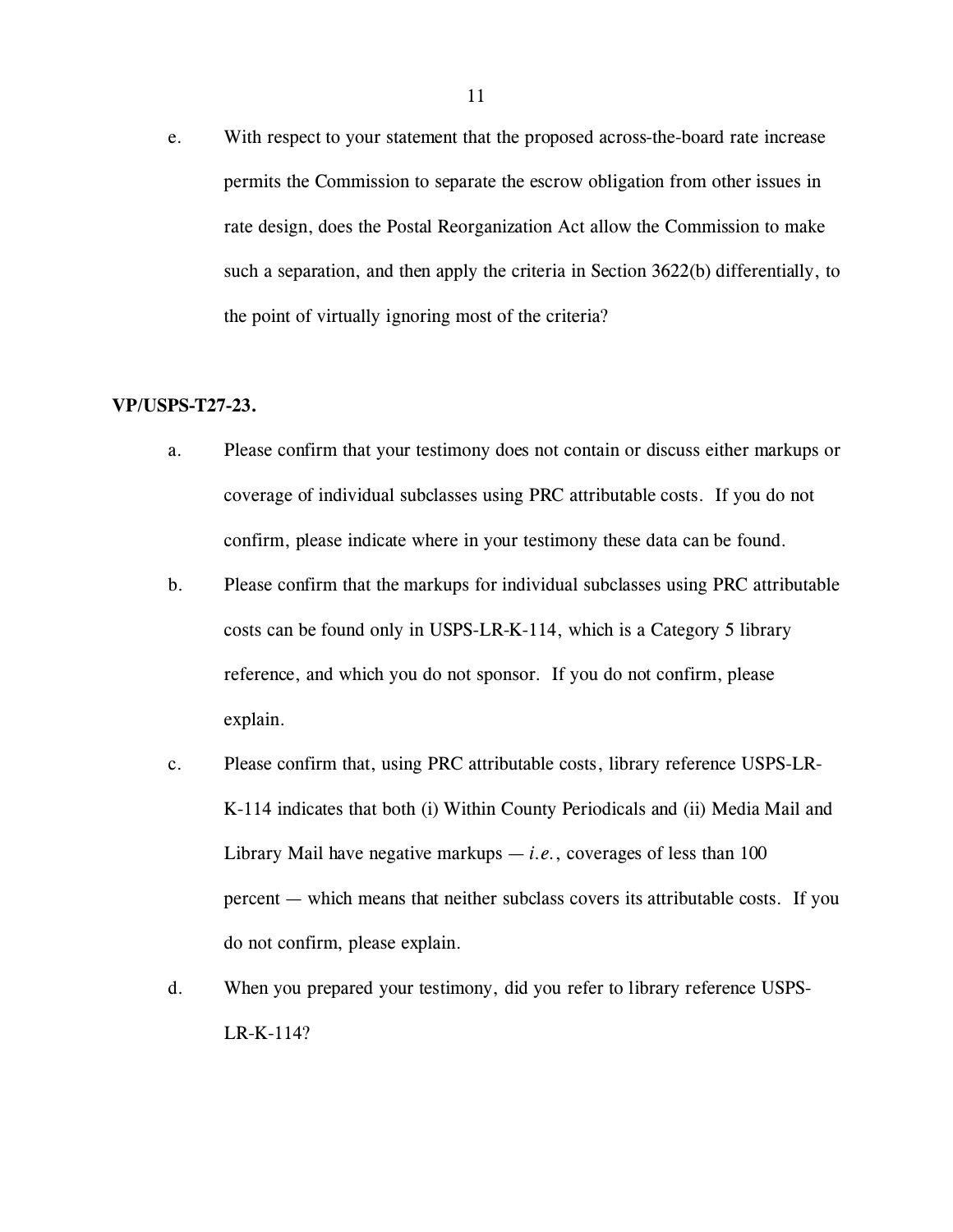e. With respect to your statement that the proposed across-the-board rate increase permits the Commission to separate the escrow obligation from other issues in rate design, does the Postal Reorganization Act allow the Commission to make such a separation, and then apply the criteria in Section 3622(b) differentially, to the point of virtually ignoring most of the criteria?

## **VP/USPS-T27-23.**

- a. Please confirm that your testimony does not contain or discuss either markups or coverage of individual subclasses using PRC attributable costs. If you do not confirm, please indicate where in your testimony these data can be found.
- b. Please confirm that the markups for individual subclasses using PRC attributable costs can be found only in USPS-LR-K-114, which is a Category 5 library reference, and which you do not sponsor. If you do not confirm, please explain.
- c. Please confirm that, using PRC attributable costs, library reference USPS-LR-K-114 indicates that both (i) Within County Periodicals and (ii) Media Mail and Library Mail have negative markups  $-i.e.,$  coverages of less than 100 percent — which means that neither subclass covers its attributable costs. If you do not confirm, please explain.
- d. When you prepared your testimony, did you refer to library reference USPS-LR-K-114?